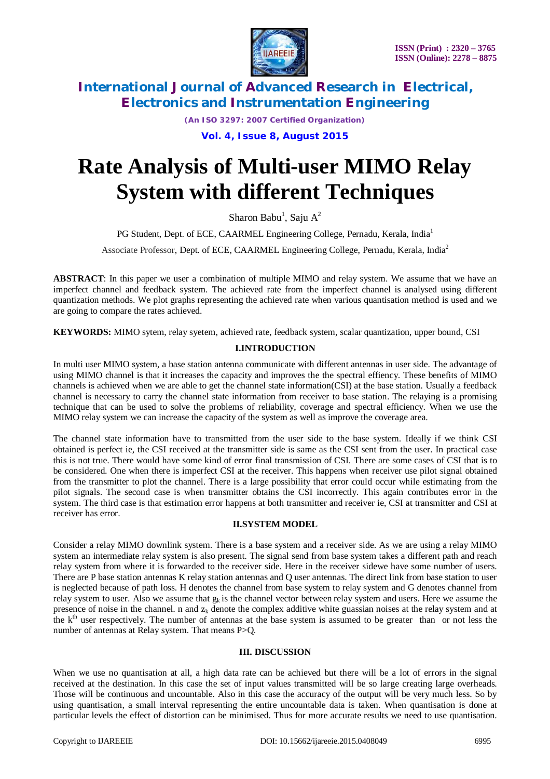

*(An ISO 3297: 2007 Certified Organization)*

## **Vol. 4, Issue 8, August 2015**

# **Rate Analysis of Multi-user MIMO Relay System with different Techniques**

Sharon Babu<sup>1</sup>, Saju A<sup>2</sup>

PG Student, Dept. of ECE, CAARMEL Engineering College, Pernadu, Kerala, India<sup>1</sup>

Associate Professor, Dept. of ECE, CAARMEL Engineering College, Pernadu, Kerala, India<sup>2</sup>

**ABSTRACT**: In this paper we user a combination of multiple MIMO and relay system. We assume that we have an imperfect channel and feedback system. The achieved rate from the imperfect channel is analysed using different quantization methods. We plot graphs representing the achieved rate when various quantisation method is used and we are going to compare the rates achieved.

**KEYWORDS:** MIMO sytem, relay syetem, achieved rate, feedback system, scalar quantization, upper bound, CSI

# **I.INTRODUCTION**

In multi user MIMO system, a base station antenna communicate with different antennas in user side. The advantage of using MIMO channel is that it increases the capacity and improves the the spectral effiency. These benefits of MIMO channels is achieved when we are able to get the channel state information(CSI) at the base station. Usually a feedback channel is necessary to carry the channel state information from receiver to base station. The relaying is a promising technique that can be used to solve the problems of reliability, coverage and spectral efficiency. When we use the MIMO relay system we can increase the capacity of the system as well as improve the coverage area.

The channel state information have to transmitted from the user side to the base system. Ideally if we think CSI obtained is perfect ie, the CSI received at the transmitter side is same as the CSI sent from the user. In practical case this is not true. There would have some kind of error final transmission of CSI. There are some cases of CSI that is to be considered. One when there is imperfect CSI at the receiver. This happens when receiver use pilot signal obtained from the transmitter to plot the channel. There is a large possibility that error could occur while estimating from the pilot signals. The second case is when transmitter obtains the CSI incorrectly. This again contributes error in the system. The third case is that estimation error happens at both transmitter and receiver ie, CSI at transmitter and CSI at receiver has error.

### **II.SYSTEM MODEL**

Consider a relay MIMO downlink system. There is a base system and a receiver side. As we are using a relay MIMO system an intermediate relay system is also present. The signal send from base system takes a different path and reach relay system from where it is forwarded to the receiver side. Here in the receiver sidewe have some number of users. There are P base station antennas K relay station antennas and Q user antennas. The direct link from base station to user is neglected because of path loss. H denotes the channel from base system to relay system and G denotes channel from relay system to user. Also we assume that  $g_k$  is the channel vector between relay system and users. Here we assume the presence of noise in the channel. n and  $z<sub>k</sub>$  denote the complex additive white guassian noises at the relay system and at the k<sup>th</sup> user respectively. The number of antennas at the base system is assumed to be greater than or not less the number of antennas at Relay system. That means P>Q.

### **III. DISCUSSION**

When we use no quantisation at all, a high data rate can be achieved but there will be a lot of errors in the signal received at the destination. In this case the set of input values transmitted will be so large creating large overheads. Those will be continuous and uncountable. Also in this case the accuracy of the output will be very much less. So by using quantisation, a small interval representing the entire uncountable data is taken. When quantisation is done at particular levels the effect of distortion can be minimised. Thus for more accurate results we need to use quantisation.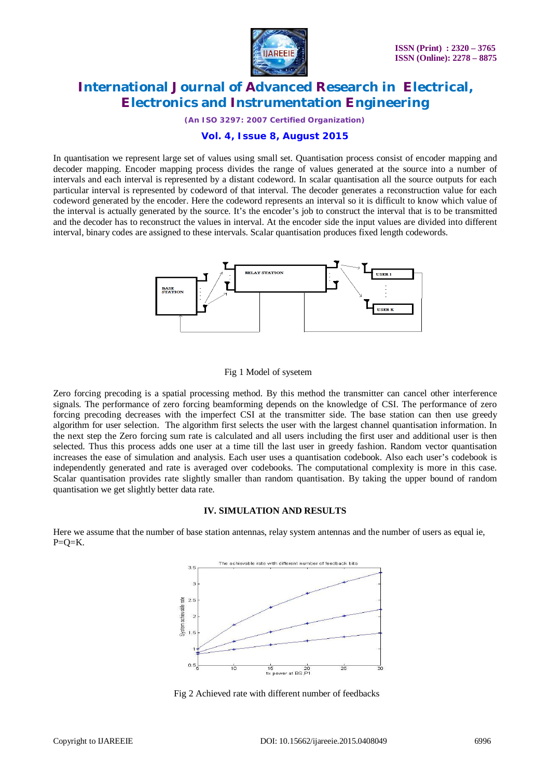

*(An ISO 3297: 2007 Certified Organization)*

## **Vol. 4, Issue 8, August 2015**

In quantisation we represent large set of values using small set. Quantisation process consist of encoder mapping and decoder mapping. Encoder mapping process divides the range of values generated at the source into a number of intervals and each interval is represented by a distant codeword. In scalar quantisation all the source outputs for each particular interval is represented by codeword of that interval. The decoder generates a reconstruction value for each codeword generated by the encoder. Here the codeword represents an interval so it is difficult to know which value of the interval is actually generated by the source. It's the encoder's job to construct the interval that is to be transmitted and the decoder has to reconstruct the values in interval. At the encoder side the input values are divided into different interval, binary codes are assigned to these intervals. Scalar quantisation produces fixed length codewords.



#### Fig 1 Model of sysetem

Zero forcing precoding is a spatial processing method. By this method the transmitter can cancel other interference signals. The performance of zero forcing beamforming depends on the knowledge of CSI. The performance of zero forcing precoding decreases with the imperfect CSI at the transmitter side. The base station can then use greedy algorithm for user selection. The algorithm first selects the user with the largest channel quantisation information. In the next step the Zero forcing sum rate is calculated and all users including the first user and additional user is then selected. Thus this process adds one user at a time till the last user in greedy fashion. Random vector quantisation increases the ease of simulation and analysis. Each user uses a quantisation codebook. Also each user's codebook is independently generated and rate is averaged over codebooks. The computational complexity is more in this case. Scalar quantisation provides rate slightly smaller than random quantisation. By taking the upper bound of random quantisation we get slightly better data rate.

#### **IV. SIMULATION AND RESULTS**

Here we assume that the number of base station antennas, relay system antennas and the number of users as equal ie,  $P=O=K$ .



Fig 2 Achieved rate with different number of feedbacks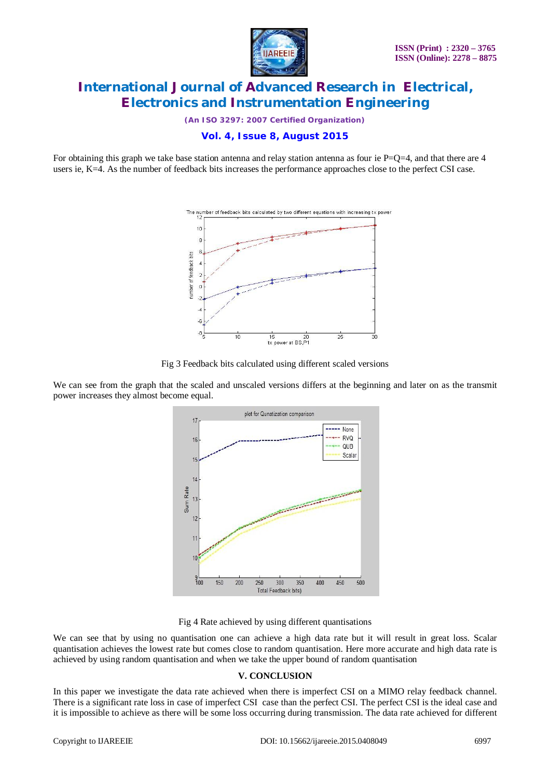

*(An ISO 3297: 2007 Certified Organization)*

**Vol. 4, Issue 8, August 2015**

For obtaining this graph we take base station antenna and relay station antenna as four ie  $P=Q=4$ , and that there are 4 users ie, K=4. As the number of feedback bits increases the performance approaches close to the perfect CSI case.



Fig 3 Feedback bits calculated using different scaled versions

We can see from the graph that the scaled and unscaled versions differs at the beginning and later on as the transmit power increases they almost become equal.





We can see that by using no quantisation one can achieve a high data rate but it will result in great loss. Scalar quantisation achieves the lowest rate but comes close to random quantisation. Here more accurate and high data rate is achieved by using random quantisation and when we take the upper bound of random quantisation

# **V. CONCLUSION**

In this paper we investigate the data rate achieved when there is imperfect CSI on a MIMO relay feedback channel. There is a significant rate loss in case of imperfect CSI case than the perfect CSI. The perfect CSI is the ideal case and it is impossible to achieve as there will be some loss occurring during transmission. The data rate achieved for different